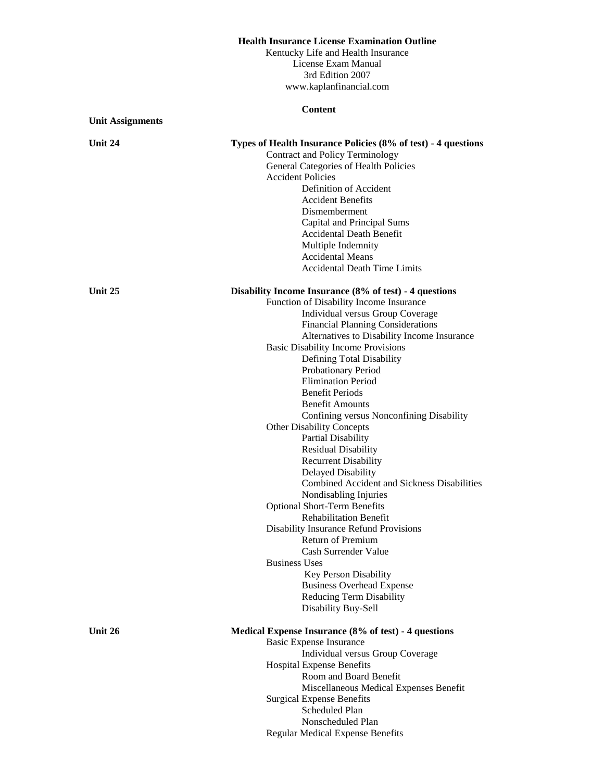## **Health Insurance License Examination Outline**

Kentucky Life and Health Insurance License Exam Manual 3rd Edition 2007 www.kaplanfinancial.com

|                         | <b>Content</b>                                                                                                                                                                                                                                                                                                                                                                                                                                                                                                                                                                                                                                                                                                                                                                                                                                                                                                                                                                                                  |
|-------------------------|-----------------------------------------------------------------------------------------------------------------------------------------------------------------------------------------------------------------------------------------------------------------------------------------------------------------------------------------------------------------------------------------------------------------------------------------------------------------------------------------------------------------------------------------------------------------------------------------------------------------------------------------------------------------------------------------------------------------------------------------------------------------------------------------------------------------------------------------------------------------------------------------------------------------------------------------------------------------------------------------------------------------|
| <b>Unit Assignments</b> |                                                                                                                                                                                                                                                                                                                                                                                                                                                                                                                                                                                                                                                                                                                                                                                                                                                                                                                                                                                                                 |
| Unit 24                 | Types of Health Insurance Policies (8% of test) - 4 questions<br>Contract and Policy Terminology<br>General Categories of Health Policies<br><b>Accident Policies</b><br>Definition of Accident<br><b>Accident Benefits</b><br>Dismemberment<br>Capital and Principal Sums<br>Accidental Death Benefit<br>Multiple Indemnity<br><b>Accidental Means</b><br><b>Accidental Death Time Limits</b>                                                                                                                                                                                                                                                                                                                                                                                                                                                                                                                                                                                                                  |
| Unit 25                 | Disability Income Insurance (8% of test) - 4 questions<br>Function of Disability Income Insurance<br>Individual versus Group Coverage<br><b>Financial Planning Considerations</b><br>Alternatives to Disability Income Insurance<br><b>Basic Disability Income Provisions</b><br>Defining Total Disability<br>Probationary Period<br><b>Elimination Period</b><br><b>Benefit Periods</b><br><b>Benefit Amounts</b><br>Confining versus Nonconfining Disability<br><b>Other Disability Concepts</b><br><b>Partial Disability</b><br><b>Residual Disability</b><br><b>Recurrent Disability</b><br>Delayed Disability<br>Combined Accident and Sickness Disabilities<br>Nondisabling Injuries<br><b>Optional Short-Term Benefits</b><br><b>Rehabilitation Benefit</b><br><b>Disability Insurance Refund Provisions</b><br>Return of Premium<br>Cash Surrender Value<br><b>Business Uses</b><br>Key Person Disability<br><b>Business Overhead Expense</b><br><b>Reducing Term Disability</b><br>Disability Buy-Sell |
| Unit 26                 | Medical Expense Insurance (8% of test) - 4 questions<br><b>Basic Expense Insurance</b><br>Individual versus Group Coverage<br><b>Hospital Expense Benefits</b><br>Room and Board Benefit<br>Miscellaneous Medical Expenses Benefit                                                                                                                                                                                                                                                                                                                                                                                                                                                                                                                                                                                                                                                                                                                                                                              |
|                         | <b>Surgical Expense Benefits</b><br>Scheduled Plan                                                                                                                                                                                                                                                                                                                                                                                                                                                                                                                                                                                                                                                                                                                                                                                                                                                                                                                                                              |

Nonscheduled Plan Regular Medical Expense Benefits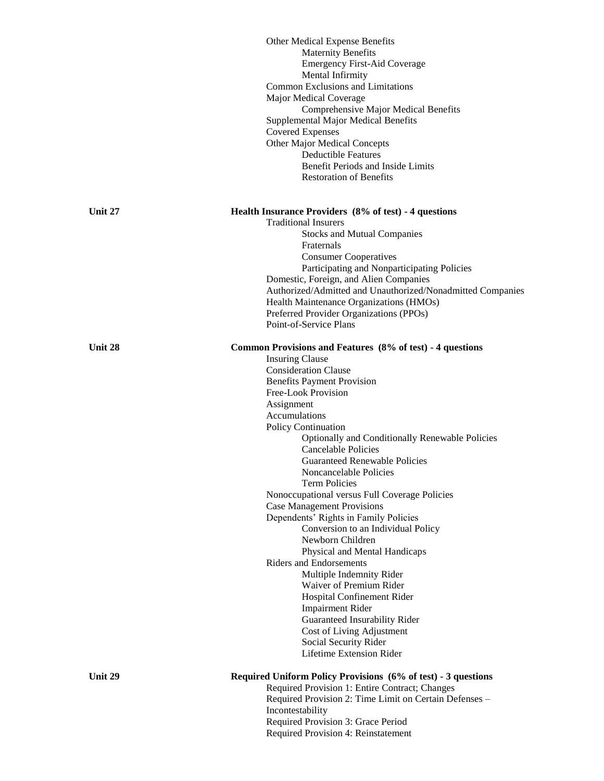|         | Other Medical Expense Benefits                                |
|---------|---------------------------------------------------------------|
|         | <b>Maternity Benefits</b>                                     |
|         | <b>Emergency First-Aid Coverage</b>                           |
|         | Mental Infirmity                                              |
|         | <b>Common Exclusions and Limitations</b>                      |
|         | Major Medical Coverage                                        |
|         | Comprehensive Major Medical Benefits                          |
|         | Supplemental Major Medical Benefits                           |
|         | <b>Covered Expenses</b>                                       |
|         | Other Major Medical Concepts                                  |
|         | <b>Deductible Features</b>                                    |
|         | Benefit Periods and Inside Limits                             |
|         | <b>Restoration of Benefits</b>                                |
|         |                                                               |
| Unit 27 | Health Insurance Providers (8% of test) - 4 questions         |
|         | <b>Traditional Insurers</b>                                   |
|         | <b>Stocks and Mutual Companies</b>                            |
|         | Fraternals                                                    |
|         | <b>Consumer Cooperatives</b>                                  |
|         | Participating and Nonparticipating Policies                   |
|         | Domestic, Foreign, and Alien Companies                        |
|         | Authorized/Admitted and Unauthorized/Nonadmitted Companies    |
|         | Health Maintenance Organizations (HMOs)                       |
|         | Preferred Provider Organizations (PPOs)                       |
|         | Point-of-Service Plans                                        |
|         |                                                               |
| Unit 28 | Common Provisions and Features (8% of test) - 4 questions     |
|         | <b>Insuring Clause</b>                                        |
|         | <b>Consideration Clause</b>                                   |
|         | <b>Benefits Payment Provision</b>                             |
|         | Free-Look Provision                                           |
|         | Assignment                                                    |
|         | Accumulations                                                 |
|         | Policy Continuation                                           |
|         | Optionally and Conditionally Renewable Policies               |
|         | Cancelable Policies                                           |
|         | Guaranteed Renewable Policies                                 |
|         | Noncancelable Policies                                        |
|         | <b>Term Policies</b>                                          |
|         | Nonoccupational versus Full Coverage Policies                 |
|         | <b>Case Management Provisions</b>                             |
|         |                                                               |
|         | Dependents' Rights in Family Policies                         |
|         | Conversion to an Individual Policy<br>Newborn Children        |
|         |                                                               |
|         | Physical and Mental Handicaps                                 |
|         | <b>Riders and Endorsements</b>                                |
|         | Multiple Indemnity Rider                                      |
|         | Waiver of Premium Rider                                       |
|         | Hospital Confinement Rider                                    |
|         | <b>Impairment Rider</b>                                       |
|         | Guaranteed Insurability Rider                                 |
|         | Cost of Living Adjustment                                     |
|         | Social Security Rider                                         |
|         | Lifetime Extension Rider                                      |
|         |                                                               |
| Unit 29 | Required Uniform Policy Provisions (6% of test) - 3 questions |
|         | Required Provision 1: Entire Contract; Changes                |
|         | Required Provision 2: Time Limit on Certain Defenses -        |
|         | Incontestability                                              |
|         | Required Provision 3: Grace Period                            |
|         | Required Provision 4: Reinstatement                           |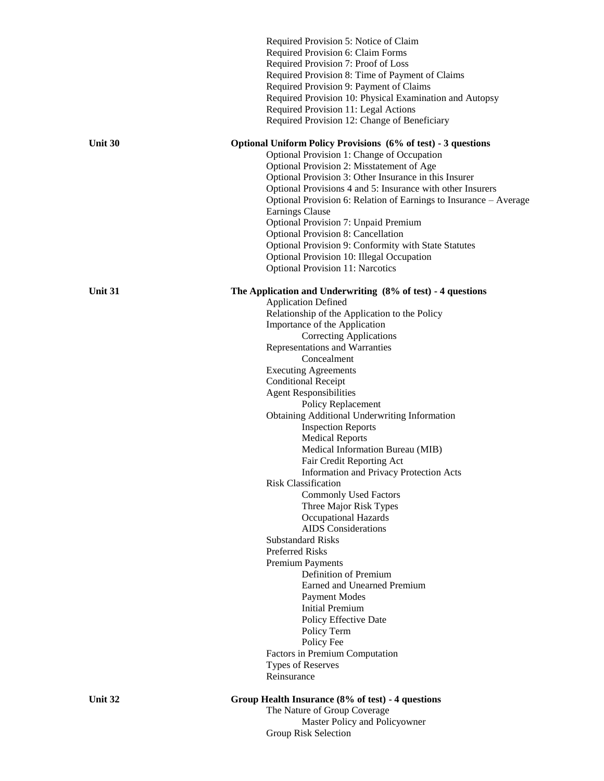|         | Required Provision 5: Notice of Claim<br>Required Provision 6: Claim Forms<br>Required Provision 7: Proof of Loss<br>Required Provision 8: Time of Payment of Claims<br>Required Provision 9: Payment of Claims<br>Required Provision 10: Physical Examination and Autopsy<br>Required Provision 11: Legal Actions<br>Required Provision 12: Change of Beneficiary                                                                                                                                                                                                                                                                                                                                                                                                                                                                                                                                                                                                                                                                                                   |
|---------|----------------------------------------------------------------------------------------------------------------------------------------------------------------------------------------------------------------------------------------------------------------------------------------------------------------------------------------------------------------------------------------------------------------------------------------------------------------------------------------------------------------------------------------------------------------------------------------------------------------------------------------------------------------------------------------------------------------------------------------------------------------------------------------------------------------------------------------------------------------------------------------------------------------------------------------------------------------------------------------------------------------------------------------------------------------------|
| Unit 30 | Optional Uniform Policy Provisions (6% of test) - 3 questions<br>Optional Provision 1: Change of Occupation<br>Optional Provision 2: Misstatement of Age<br>Optional Provision 3: Other Insurance in this Insurer<br>Optional Provisions 4 and 5: Insurance with other Insurers<br>Optional Provision 6: Relation of Earnings to Insurance – Average<br>Earnings Clause<br><b>Optional Provision 7: Unpaid Premium</b><br><b>Optional Provision 8: Cancellation</b><br>Optional Provision 9: Conformity with State Statutes<br>Optional Provision 10: Illegal Occupation<br><b>Optional Provision 11: Narcotics</b>                                                                                                                                                                                                                                                                                                                                                                                                                                                  |
| Unit 31 | The Application and Underwriting (8% of test) - 4 questions<br><b>Application Defined</b><br>Relationship of the Application to the Policy<br>Importance of the Application<br><b>Correcting Applications</b><br>Representations and Warranties<br>Concealment<br><b>Executing Agreements</b><br><b>Conditional Receipt</b><br><b>Agent Responsibilities</b><br>Policy Replacement<br>Obtaining Additional Underwriting Information<br><b>Inspection Reports</b><br><b>Medical Reports</b><br>Medical Information Bureau (MIB)<br>Fair Credit Reporting Act<br>Information and Privacy Protection Acts<br>Risk Classification<br><b>Commonly Used Factors</b><br>Three Major Risk Types<br><b>Occupational Hazards</b><br><b>AIDS</b> Considerations<br><b>Substandard Risks</b><br><b>Preferred Risks</b><br>Premium Payments<br>Definition of Premium<br>Earned and Unearned Premium<br><b>Payment Modes</b><br><b>Initial Premium</b><br>Policy Effective Date<br>Policy Term<br>Policy Fee<br>Factors in Premium Computation<br>Types of Reserves<br>Reinsurance |
| Unit 32 | Group Health Insurance (8% of test) - 4 questions<br>The Nature of Group Coverage<br>Master Policy and Policyowner                                                                                                                                                                                                                                                                                                                                                                                                                                                                                                                                                                                                                                                                                                                                                                                                                                                                                                                                                   |

## mu rolicyo<br>... Group Risk Selection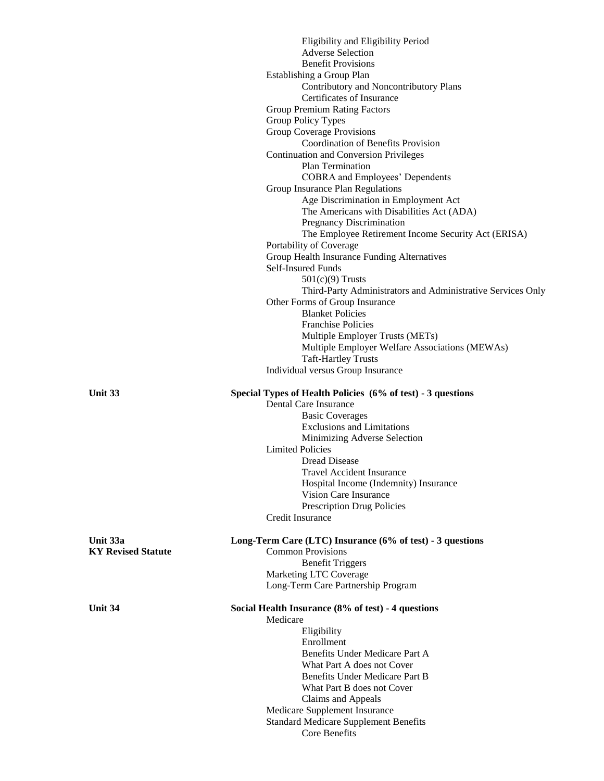|                           | Eligibility and Eligibility Period                          |
|---------------------------|-------------------------------------------------------------|
|                           | <b>Adverse Selection</b>                                    |
|                           | <b>Benefit Provisions</b>                                   |
|                           | Establishing a Group Plan                                   |
|                           | Contributory and Noncontributory Plans                      |
|                           | Certificates of Insurance                                   |
|                           | <b>Group Premium Rating Factors</b>                         |
|                           | Group Policy Types                                          |
|                           | Group Coverage Provisions                                   |
|                           | <b>Coordination of Benefits Provision</b>                   |
|                           | <b>Continuation and Conversion Privileges</b>               |
|                           | Plan Termination                                            |
|                           | <b>COBRA</b> and Employees' Dependents                      |
|                           | Group Insurance Plan Regulations                            |
|                           | Age Discrimination in Employment Act                        |
|                           | The Americans with Disabilities Act (ADA)                   |
|                           | Pregnancy Discrimination                                    |
|                           | The Employee Retirement Income Security Act (ERISA)         |
|                           | Portability of Coverage                                     |
|                           | Group Health Insurance Funding Alternatives                 |
|                           | Self-Insured Funds                                          |
|                           | $501(c)(9)$ Trusts                                          |
|                           | Third-Party Administrators and Administrative Services Only |
|                           | Other Forms of Group Insurance                              |
|                           | <b>Blanket Policies</b>                                     |
|                           | <b>Franchise Policies</b>                                   |
|                           | Multiple Employer Trusts (METs)                             |
|                           | Multiple Employer Welfare Associations (MEWAs)              |
|                           | <b>Taft-Hartley Trusts</b>                                  |
|                           | Individual versus Group Insurance                           |
|                           |                                                             |
| Unit 33                   | Special Types of Health Policies (6% of test) - 3 questions |
|                           | Dental Care Insurance                                       |
|                           | <b>Basic Coverages</b>                                      |
|                           | <b>Exclusions and Limitations</b>                           |
|                           | Minimizing Adverse Selection                                |
|                           | <b>Limited Policies</b>                                     |
|                           | <b>Dread Disease</b>                                        |
|                           | <b>Travel Accident Insurance</b>                            |
|                           | Hospital Income (Indemnity) Insurance                       |
|                           | Vision Care Insurance                                       |
|                           | <b>Prescription Drug Policies</b>                           |
|                           | Credit Insurance                                            |
|                           |                                                             |
| Unit 33a                  | Long-Term Care (LTC) Insurance (6% of test) - 3 questions   |
| <b>KY Revised Statute</b> | <b>Common Provisions</b>                                    |
|                           |                                                             |
|                           | <b>Benefit Triggers</b>                                     |
|                           | Marketing LTC Coverage                                      |
|                           | Long-Term Care Partnership Program                          |
|                           |                                                             |
| Unit 34                   | Social Health Insurance (8% of test) - 4 questions          |
|                           | Medicare                                                    |
|                           | Eligibility                                                 |
|                           | Enrollment                                                  |
|                           | Benefits Under Medicare Part A                              |
|                           | What Part A does not Cover                                  |
|                           | Benefits Under Medicare Part B                              |
|                           | What Part B does not Cover                                  |
|                           | Claims and Appeals                                          |
|                           | Medicare Supplement Insurance                               |
|                           | <b>Standard Medicare Supplement Benefits</b>                |
|                           | Core Benefits                                               |